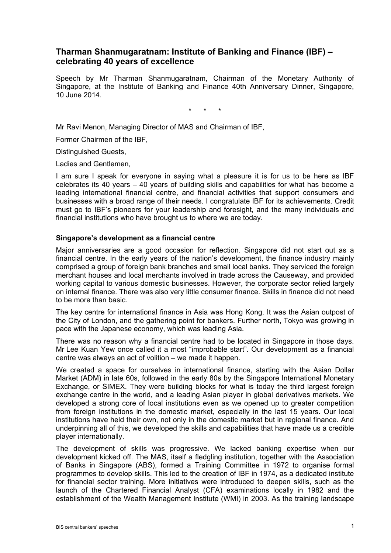# **Tharman Shanmugaratnam: Institute of Banking and Finance (IBF) – celebrating 40 years of excellence**

Speech by Mr Tharman Shanmugaratnam, Chairman of the Monetary Authority of Singapore, at the Institute of Banking and Finance 40th Anniversary Dinner, Singapore, 10 June 2014.

\* \* \*

Mr Ravi Menon, Managing Director of MAS and Chairman of IBF,

Former Chairmen of the IBF,

Distinguished Guests,

Ladies and Gentlemen,

I am sure I speak for everyone in saying what a pleasure it is for us to be here as IBF celebrates its 40 years – 40 years of building skills and capabilities for what has become a leading international financial centre, and financial activities that support consumers and businesses with a broad range of their needs. I congratulate IBF for its achievements. Credit must go to IBF's pioneers for your leadership and foresight, and the many individuals and financial institutions who have brought us to where we are today.

#### **Singapore's development as a financial centre**

Major anniversaries are a good occasion for reflection. Singapore did not start out as a financial centre. In the early years of the nation's development, the finance industry mainly comprised a group of foreign bank branches and small local banks. They serviced the foreign merchant houses and local merchants involved in trade across the Causeway, and provided working capital to various domestic businesses. However, the corporate sector relied largely on internal finance. There was also very little consumer finance. Skills in finance did not need to be more than basic.

The key centre for international finance in Asia was Hong Kong. It was the Asian outpost of the City of London, and the gathering point for bankers. Further north, Tokyo was growing in pace with the Japanese economy, which was leading Asia.

There was no reason why a financial centre had to be located in Singapore in those days. Mr Lee Kuan Yew once called it a most "improbable start". Our development as a financial centre was always an act of volition – we made it happen.

We created a space for ourselves in international finance, starting with the Asian Dollar Market (ADM) in late 60s, followed in the early 80s by the Singapore International Monetary Exchange, or SIMEX. They were building blocks for what is today the third largest foreign exchange centre in the world, and a leading Asian player in global derivatives markets. We developed a strong core of local institutions even as we opened up to greater competition from foreign institutions in the domestic market, especially in the last 15 years. Our local institutions have held their own, not only in the domestic market but in regional finance. And underpinning all of this, we developed the skills and capabilities that have made us a credible player internationally.

The development of skills was progressive. We lacked banking expertise when our development kicked off. The MAS, itself a fledgling institution, together with the Association of Banks in Singapore (ABS), formed a Training Committee in 1972 to organise formal programmes to develop skills. This led to the creation of IBF in 1974, as a dedicated institute for financial sector training. More initiatives were introduced to deepen skills, such as the launch of the Chartered Financial Analyst (CFA) examinations locally in 1982 and the establishment of the Wealth Management Institute (WMI) in 2003. As the training landscape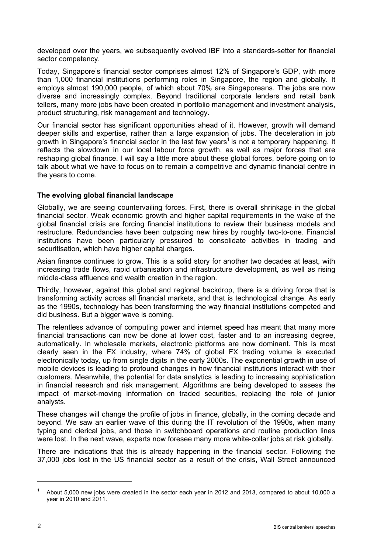developed over the years, we subsequently evolved IBF into a standards-setter for financial sector competency.

Today, Singapore's financial sector comprises almost 12% of Singapore's GDP, with more than 1,000 financial institutions performing roles in Singapore, the region and globally. It employs almost 190,000 people, of which about 70% are Singaporeans. The jobs are now diverse and increasingly complex. Beyond traditional corporate lenders and retail bank tellers, many more jobs have been created in portfolio management and investment analysis, product structuring, risk management and technology.

Our financial sector has significant opportunities ahead of it. However, growth will demand deeper skills and expertise, rather than a large expansion of jobs. The deceleration in job growth in Singapore's financial sector in the last few years<sup>1</sup> is not a temporary happening. It reflects the slowdown in our local labour force growth, as well as major forces that are reshaping global finance. I will say a little more about these global forces, before going on to talk about what we have to focus on to remain a competitive and dynamic financial centre in the years to come.

#### **The evolving global financial landscape**

Globally, we are seeing countervailing forces. First, there is overall shrinkage in the global financial sector. Weak economic growth and higher capital requirements in the wake of the global financial crisis are forcing financial institutions to review their business models and restructure. Redundancies have been outpacing new hires by roughly two-to-one. Financial institutions have been particularly pressured to consolidate activities in trading and securitisation, which have higher capital charges.

Asian finance continues to grow. This is a solid story for another two decades at least, with increasing trade flows, rapid urbanisation and infrastructure development, as well as rising middle-class affluence and wealth creation in the region.

Thirdly, however, against this global and regional backdrop, there is a driving force that is transforming activity across all financial markets, and that is technological change. As early as the 1990s, technology has been transforming the way financial institutions competed and did business. But a bigger wave is coming.

The relentless advance of computing power and internet speed has meant that many more financial transactions can now be done at lower cost, faster and to an increasing degree, automatically. In wholesale markets, electronic platforms are now dominant. This is most clearly seen in the FX industry, where 74% of global FX trading volume is executed electronically today, up from single digits in the early 2000s. The exponential growth in use of mobile devices is leading to profound changes in how financial institutions interact with their customers. Meanwhile, the potential for data analytics is leading to increasing sophistication in financial research and risk management. Algorithms are being developed to assess the impact of market-moving information on traded securities, replacing the role of junior analysts.

These changes will change the profile of jobs in finance, globally, in the coming decade and beyond. We saw an earlier wave of this during the IT revolution of the 1990s, when many typing and clerical jobs, and those in switchboard operations and routine production lines were lost. In the next wave, experts now foresee many more white-collar jobs at risk globally.

There are indications that this is already happening in the financial sector. Following the 37,000 jobs lost in the US financial sector as a result of the crisis, Wall Street announced

<sup>1</sup> About 5,000 new jobs were created in the sector each year in 2012 and 2013, compared to about 10,000 a year in 2010 and 2011.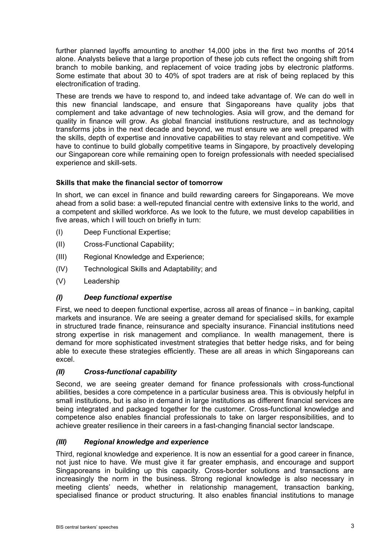further planned layoffs amounting to another 14,000 jobs in the first two months of 2014 alone. Analysts believe that a large proportion of these job cuts reflect the ongoing shift from branch to mobile banking, and replacement of voice trading jobs by electronic platforms. Some estimate that about 30 to 40% of spot traders are at risk of being replaced by this electronification of trading.

These are trends we have to respond to, and indeed take advantage of. We can do well in this new financial landscape, and ensure that Singaporeans have quality jobs that complement and take advantage of new technologies. Asia will grow, and the demand for quality in finance will grow. As global financial institutions restructure, and as technology transforms jobs in the next decade and beyond, we must ensure we are well prepared with the skills, depth of expertise and innovative capabilities to stay relevant and competitive. We have to continue to build globally competitive teams in Singapore, by proactively developing our Singaporean core while remaining open to foreign professionals with needed specialised experience and skill-sets.

## **Skills that make the financial sector of tomorrow**

In short, we can excel in finance and build rewarding careers for Singaporeans. We move ahead from a solid base: a well-reputed financial centre with extensive links to the world, and a competent and skilled workforce. As we look to the future, we must develop capabilities in five areas, which I will touch on briefly in turn:

- (I) Deep Functional Expertise;
- (II) Cross-Functional Capability;
- (III) Regional Knowledge and Experience;
- (IV) Technological Skills and Adaptability; and
- (V) Leadership

#### *(I) Deep functional expertise*

First, we need to deepen functional expertise, across all areas of finance – in banking, capital markets and insurance. We are seeing a greater demand for specialised skills, for example in structured trade finance, reinsurance and specialty insurance. Financial institutions need strong expertise in risk management and compliance. In wealth management, there is demand for more sophisticated investment strategies that better hedge risks, and for being able to execute these strategies efficiently. These are all areas in which Singaporeans can excel.

#### *(II) Cross-functional capability*

Second, we are seeing greater demand for finance professionals with cross-functional abilities, besides a core competence in a particular business area. This is obviously helpful in small institutions, but is also in demand in large institutions as different financial services are being integrated and packaged together for the customer. Cross-functional knowledge and competence also enables financial professionals to take on larger responsibilities, and to achieve greater resilience in their careers in a fast-changing financial sector landscape.

#### *(III) Regional knowledge and experience*

Third, regional knowledge and experience. It is now an essential for a good career in finance, not just nice to have. We must give it far greater emphasis, and encourage and support Singaporeans in building up this capacity. Cross-border solutions and transactions are increasingly the norm in the business. Strong regional knowledge is also necessary in meeting clients' needs, whether in relationship management, transaction banking, specialised finance or product structuring. It also enables financial institutions to manage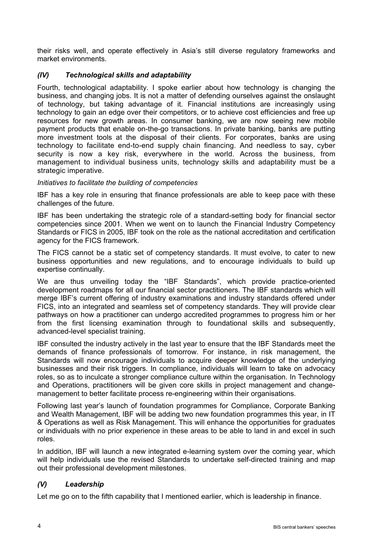their risks well, and operate effectively in Asia's still diverse regulatory frameworks and market environments.

## *(IV) Technological skills and adaptability*

Fourth, technological adaptability. I spoke earlier about how technology is changing the business, and changing jobs. It is not a matter of defending ourselves against the onslaught of technology, but taking advantage of it. Financial institutions are increasingly using technology to gain an edge over their competitors, or to achieve cost efficiencies and free up resources for new growth areas. In consumer banking, we are now seeing new mobile payment products that enable on-the-go transactions. In private banking, banks are putting more investment tools at the disposal of their clients. For corporates, banks are using technology to facilitate end-to-end supply chain financing. And needless to say, cyber security is now a key risk, everywhere in the world. Across the business, from management to individual business units, technology skills and adaptability must be a strategic imperative.

#### *Initiatives to facilitate the building of competencies*

IBF has a key role in ensuring that finance professionals are able to keep pace with these challenges of the future.

IBF has been undertaking the strategic role of a standard-setting body for financial sector competencies since 2001. When we went on to launch the Financial Industry Competency Standards or FICS in 2005, IBF took on the role as the national accreditation and certification agency for the FICS framework.

The FICS cannot be a static set of competency standards. It must evolve, to cater to new business opportunities and new regulations, and to encourage individuals to build up expertise continually.

We are thus unveiling today the "IBF Standards", which provide practice-oriented development roadmaps for all our financial sector practitioners. The IBF standards which will merge IBF's current offering of industry examinations and industry standards offered under FICS, into an integrated and seamless set of competency standards. They will provide clear pathways on how a practitioner can undergo accredited programmes to progress him or her from the first licensing examination through to foundational skills and subsequently, advanced-level specialist training.

IBF consulted the industry actively in the last year to ensure that the IBF Standards meet the demands of finance professionals of tomorrow. For instance, in risk management, the Standards will now encourage individuals to acquire deeper knowledge of the underlying businesses and their risk triggers. In compliance, individuals will learn to take on advocacy roles, so as to inculcate a stronger compliance culture within the organisation. In Technology and Operations, practitioners will be given core skills in project management and changemanagement to better facilitate process re-engineering within their organisations.

Following last year's launch of foundation programmes for Compliance, Corporate Banking and Wealth Management, IBF will be adding two new foundation programmes this year, in IT & Operations as well as Risk Management. This will enhance the opportunities for graduates or individuals with no prior experience in these areas to be able to land in and excel in such roles.

In addition, IBF will launch a new integrated e-learning system over the coming year, which will help individuals use the revised Standards to undertake self-directed training and map out their professional development milestones.

# *(V) Leadership*

Let me go on to the fifth capability that I mentioned earlier, which is leadership in finance.